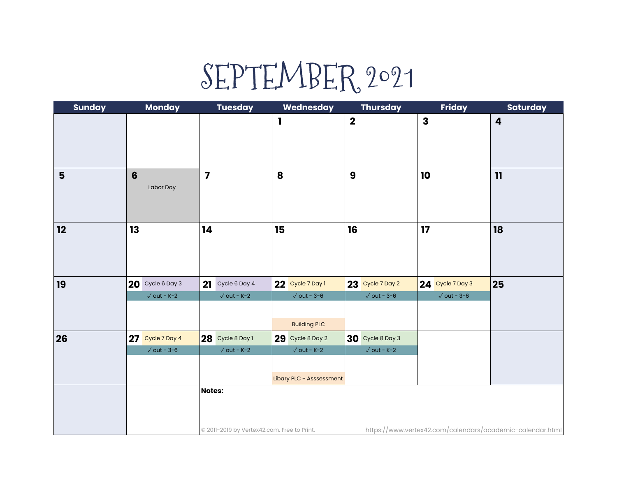## SEPTEMBER 2021

| <b>Sunday</b>  | <b>Monday</b>                           | <b>Tuesday</b>                                               | Wednesday                                                           | <b>Thursday</b>                         | <b>Friday</b>                                             | <b>Saturday</b>         |
|----------------|-----------------------------------------|--------------------------------------------------------------|---------------------------------------------------------------------|-----------------------------------------|-----------------------------------------------------------|-------------------------|
|                |                                         |                                                              | I                                                                   | $\overline{\mathbf{2}}$                 | $\mathbf{3}$                                              | $\overline{\mathbf{4}}$ |
| $5\phantom{1}$ | 6<br>Labor Day                          | $\overline{\mathbf{z}}$                                      | 8                                                                   | $\boldsymbol{9}$                        | 10                                                        | 11                      |
| 12             | 13                                      | 14                                                           | 15                                                                  | 16                                      | 17                                                        | 18                      |
| 19             | 20 Cycle 6 Day 3<br>$\sqrt{}$ out - K-2 | 21 Cycle 6 Day 4<br>$\sqrt{}$ out - K-2                      | 22 Cycle 7 Day 1<br>$\sqrt{$ out - 3-6<br><b>Building PLC</b>       | 23 Cycle 7 Day 2<br>$\sqrt{$ out - 3-6  | 24 Cycle 7 Day 3<br>$\sqrt{\,}$ out - 3-6                 | 25                      |
| 26             | 27 Cycle 7 Day 4<br>$\sqrt{}$ out - 3-6 | 28 Cycle 8 Day 1<br>$\sqrt{}$ out - K-2                      | 29 Cycle 8 Day 2<br>$\sqrt{}$ out - K-2<br>Libary PLC - Asssessment | 30 Cycle 8 Day 3<br>$\sqrt{}$ out - K-2 |                                                           |                         |
|                |                                         | <b>Notes:</b><br>@ 2011-2019 by Vertex42.com. Free to Print. |                                                                     |                                         | https://www.vertex42.com/calendars/academic-calendar.html |                         |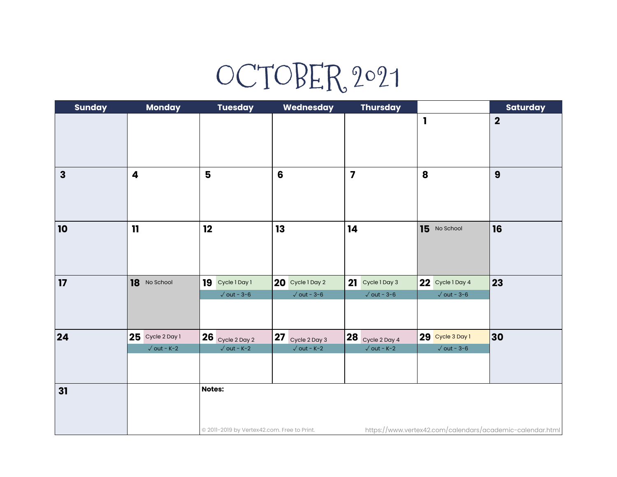## OCTOBER 2021

| <b>Sunday</b> | Monday              | <b>Tuesday</b>                              | Wednesday           | <b>Thursday</b>                        |                                                           | <b>Saturday</b>  |
|---------------|---------------------|---------------------------------------------|---------------------|----------------------------------------|-----------------------------------------------------------|------------------|
|               |                     |                                             |                     |                                        | $\mathbf{I}$                                              | $\mathbf 2$      |
|               |                     |                                             |                     |                                        |                                                           |                  |
| $\mathbf{3}$  | 4                   | $5\phantom{1}$                              | $6\phantom{1}$      | $\overline{\mathbf{z}}$                | 8                                                         | $\boldsymbol{9}$ |
| 10            | 11                  | 12                                          | 13                  | 14                                     | 15 No School                                              | 16               |
|               |                     |                                             |                     |                                        |                                                           |                  |
| 17            | 18 No School        | 19<br>Cycle 1 Day 1                         | 20 Cycle 1 Day 2    | 21 Cycle 1 Day 3                       | 22 Cycle 1 Day 4                                          | 23               |
|               |                     | $\sqrt{\text{out} - 3-6}$                   | $\sqrt{$ out - 3-6  | $\sqrt{$ out - 3-6                     | $\sqrt{$ out - 3-6                                        |                  |
| 24            | 25 Cycle 2 Day 1    | $26$ Cycle 2 Day 2                          | 27<br>Cycle 2 Day 3 | $\overline{\textbf{28}}$ Cycle 2 Day 4 | 29 Cycle 3 Day 1                                          | 30               |
|               | $\sqrt{}$ out - K-2 | $\sqrt{}$ out - K-2                         | $\sqrt{}$ out - K-2 | $\sqrt{}$ out - K-2                    | $\sqrt{$ out - 3-6                                        |                  |
| 31            |                     | <b>Notes:</b>                               |                     |                                        |                                                           |                  |
|               |                     | © 2011-2019 by Vertex42.com. Free to Print. |                     |                                        | https://www.vertex42.com/calendars/academic-calendar.html |                  |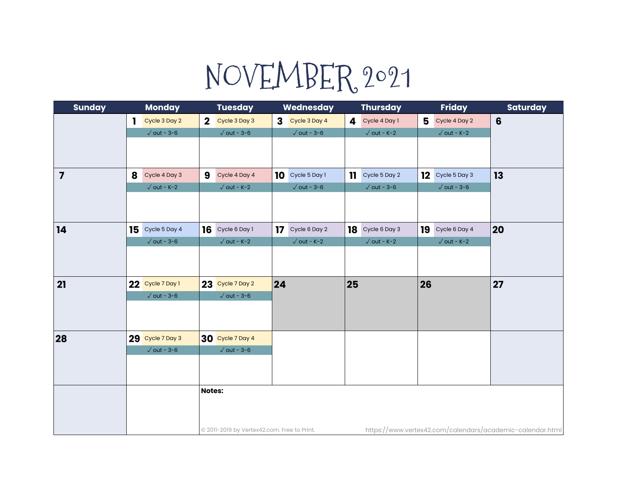## NOVEMBER 2021

| <b>Sunday</b>           | <b>Monday</b>                 | <b>Tuesday</b>                              | Wednesday                     | <b>Thursday</b>      | <b>Friday</b>                                             | <b>Saturday</b> |
|-------------------------|-------------------------------|---------------------------------------------|-------------------------------|----------------------|-----------------------------------------------------------|-----------------|
|                         | Cycle 3 Day 2<br>$\mathbf{1}$ | Cycle 3 Day 3<br>$\mathbf{2}$               | Cycle 3 Day 4<br>$\mathbf{3}$ | 4 Cycle 4 Day 1      | 5<br>Cycle 4 Day 2                                        | $6\phantom{1}$  |
|                         | $\sqrt{}$ out - 3-6           | $\sqrt{$ out - 3-6                          | $\sqrt{$ out - 3-6            | $\sqrt{}$ out - K-2  | $\sqrt{}$ out - K-2                                       |                 |
|                         |                               |                                             |                               |                      |                                                           |                 |
|                         |                               |                                             |                               |                      |                                                           |                 |
| $\overline{\mathbf{z}}$ | 8<br>Cycle 4 Day 3            | 9<br>Cycle 4 Day 4                          | Cycle 5 Day 1<br>10           | Cycle 5 Day 2<br>11. | 12<br>Cycle 5 Day 3                                       | 13              |
|                         | $\sqrt{}$ out - K-2           | $\sqrt{}$ out - K-2                         | $\sqrt{}$ out - 3-6           | $\sqrt{}$ out - 3-6  | $\sqrt{\,}$ out - 3-6                                     |                 |
|                         |                               |                                             |                               |                      |                                                           |                 |
|                         |                               |                                             |                               |                      |                                                           |                 |
| 14                      | 15 Cycle 5 Day 4              | 16 Cycle 6 Day 1                            | 17<br>Cycle 6 Day 2           | 18 Cycle 6 Day 3     | 19<br>Cycle 6 Day 4                                       | 20              |
|                         | $\sqrt{$ out - 3-6            | $\sqrt{}$ out - K-2                         | $\sqrt{}$ out - K-2           | $\sqrt{}$ out - K-2  | $\sqrt{}$ out - K-2                                       |                 |
|                         |                               |                                             |                               |                      |                                                           |                 |
|                         |                               |                                             |                               |                      |                                                           |                 |
| 21                      | 22 Cycle 7 Day 1              | 23 Cycle 7 Day 2                            | 24                            | 25                   | 26                                                        | 27              |
|                         | $\sqrt{$ out - 3-6            | $\sqrt{$ out - 3-6                          |                               |                      |                                                           |                 |
|                         |                               |                                             |                               |                      |                                                           |                 |
|                         |                               |                                             |                               |                      |                                                           |                 |
| 28                      | 29 Cycle 7 Day 3              | 30 Cycle 7 Day 4                            |                               |                      |                                                           |                 |
|                         | $\sqrt{}$ out - 3-6           | $\sqrt{}$ out - 3-6                         |                               |                      |                                                           |                 |
|                         |                               |                                             |                               |                      |                                                           |                 |
|                         |                               |                                             |                               |                      |                                                           |                 |
|                         |                               | <b>Notes:</b>                               |                               |                      |                                                           |                 |
|                         |                               |                                             |                               |                      |                                                           |                 |
|                         |                               |                                             |                               |                      |                                                           |                 |
|                         |                               | @ 2011-2019 by Vertex42.com. Free to Print. |                               |                      | https://www.vertex42.com/calendars/academic-calendar.html |                 |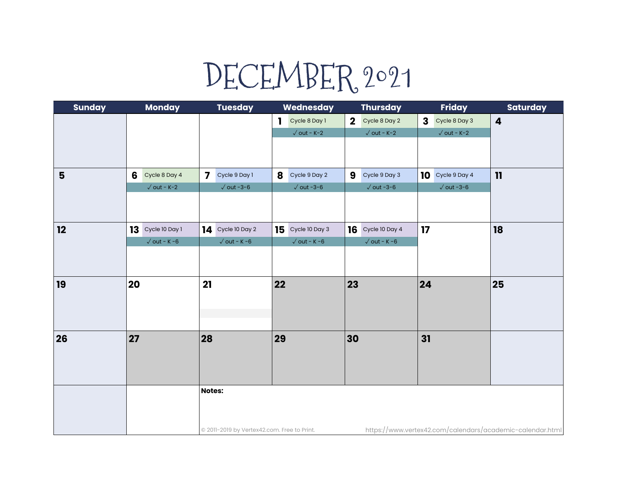## DECEMBER 2021

| <b>Sunday</b> | <b>Monday</b>        | <b>Tuesday</b>                              | Wednesday            | <b>Thursday</b>                          | <b>Friday</b>                 | <b>Saturday</b>                                           |
|---------------|----------------------|---------------------------------------------|----------------------|------------------------------------------|-------------------------------|-----------------------------------------------------------|
|               |                      |                                             | Cycle 8 Day 1<br>1.  | Cycle 8 Day 2<br>$\overline{\mathbf{2}}$ | Cycle 8 Day 3<br>$\mathbf{3}$ | $\boldsymbol{4}$                                          |
|               |                      |                                             | $\sqrt{}$ out - K-2  | $\sqrt{}$ out - K-2                      | $\sqrt{}$ out - K-2           |                                                           |
|               |                      |                                             |                      |                                          |                               |                                                           |
|               |                      |                                             |                      |                                          |                               |                                                           |
| 5             | 6<br>Cycle 8 Day 4   | $\overline{\mathbf{z}}$<br>Cycle 9 Day 1    | 8<br>Cycle 9 Day 2   | 9<br>Cycle 9 Day 3                       | 10<br>Cycle 9 Day 4           | 11                                                        |
|               | $\sqrt{}$ out - K-2  | $\sqrt{}$ out -3-6                          | $\sqrt{\,}$ out -3-6 | $\sqrt{\,}$ out -3-6                     | $\sqrt{\,}$ out -3-6          |                                                           |
|               |                      |                                             |                      |                                          |                               |                                                           |
|               |                      |                                             |                      |                                          |                               |                                                           |
| 12            | $13$ Cycle 10 Day 1  | $14$ Cycle 10 Day 2                         | 15<br>Cycle 10 Day 3 | $16$ Cycle 10 Day 4                      | 17                            | 18                                                        |
|               | $\sqrt{}$ out - K -6 | $\sqrt{}$ out - K-6                         | $\sqrt{}$ out - K -6 | $\sqrt{}$ out - K -6                     |                               |                                                           |
|               |                      |                                             |                      |                                          |                               |                                                           |
|               |                      |                                             |                      |                                          |                               |                                                           |
| 19            | 20                   | 21                                          | 22                   | 23                                       | 24                            | 25                                                        |
|               |                      |                                             |                      |                                          |                               |                                                           |
|               |                      |                                             |                      |                                          |                               |                                                           |
|               |                      |                                             |                      |                                          |                               |                                                           |
| 26            | 27                   | 28                                          | 29                   | 30                                       | 31                            |                                                           |
|               |                      |                                             |                      |                                          |                               |                                                           |
|               |                      |                                             |                      |                                          |                               |                                                           |
|               |                      |                                             |                      |                                          |                               |                                                           |
|               |                      | <b>Notes:</b>                               |                      |                                          |                               |                                                           |
|               |                      |                                             |                      |                                          |                               |                                                           |
|               |                      |                                             |                      |                                          |                               |                                                           |
|               |                      | @ 2011-2019 by Vertex42.com. Free to Print. |                      |                                          |                               | https://www.vertex42.com/calendars/academic-calendar.html |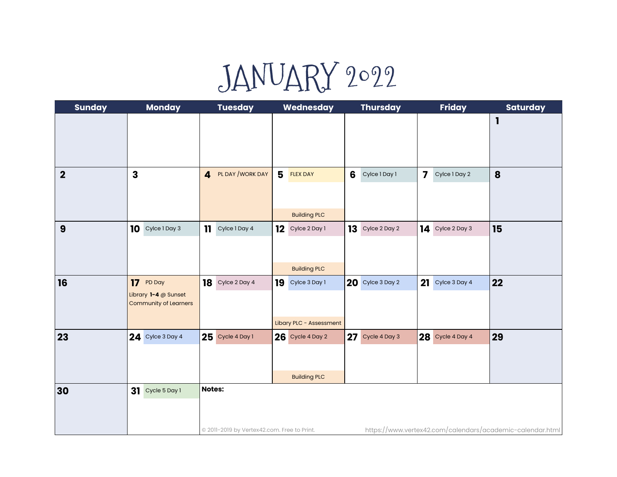## JANUARY 2022

| <b>Sunday</b> | <b>Monday</b>                                                         | <b>Tuesday</b>                                               | Wednesday                                      | <b>Thursday</b>     | <b>Friday</b>                            | <b>Saturday</b>                                           |
|---------------|-----------------------------------------------------------------------|--------------------------------------------------------------|------------------------------------------------|---------------------|------------------------------------------|-----------------------------------------------------------|
|               |                                                                       |                                                              |                                                |                     |                                          | $\mathbf{I}$                                              |
| $\mathbf 2$   | $\mathbf{3}$                                                          | PL DAY / WORK DAY<br>$\overline{\mathbf{4}}$                 | 5<br><b>FLEX DAY</b><br><b>Building PLC</b>    | 6<br>Cylce 1 Day 1  | $\overline{\mathbf{z}}$<br>Cylce 1 Day 2 | 8                                                         |
| 9             | 10 Cylce 1 Day 3                                                      | $\mathbf{1}$<br>Cylce 1 Day 4                                | 12<br>Cylce 2 Day 1<br><b>Building PLC</b>     | 13<br>Cylce 2 Day 2 | 14<br>Cylce 2 Day 3                      | 15                                                        |
| 16            | 17 PD Day<br>Library $1 - 4$ @ Sunset<br><b>Community of Learners</b> | Cylce 2 Day 4<br>18                                          | 19<br>Cylce 3 Day 1<br>Libary PLC - Assessment | $20$ Cylce 3 Day 2  | 21<br>Cylce 3 Day 4                      | 22                                                        |
| 23            | <b>24</b> Cylce 3 Day 4                                               | $25$ Cycle 4 Day 1                                           | 26 Cycle 4 Day 2<br><b>Building PLC</b>        | 27 Cycle 4 Day 3    | 28 Cycle 4 Day 4                         | 29                                                        |
| 30            | 31 Cycle 5 Day 1                                                      | <b>Notes:</b><br>@ 2011-2019 by Vertex42.com. Free to Print. |                                                |                     |                                          | https://www.vertex42.com/calendars/academic-calendar.html |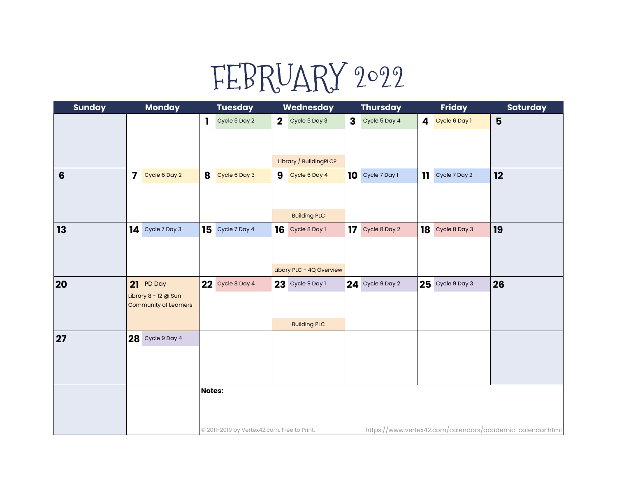## FEBRUARY 2022

| <b>Sunday</b>  | <b>Monday</b>                                        | <b>Tuesday</b>                              | Wednesday                     | <b>Thursday</b>               | <b>Friday</b>       | <b>Saturday</b>                                           |
|----------------|------------------------------------------------------|---------------------------------------------|-------------------------------|-------------------------------|---------------------|-----------------------------------------------------------|
|                |                                                      | 1<br>Cycle 5 Day 2                          | $\mathbf{2}$<br>Cycle 5 Day 3 | $\mathbf{3}$<br>Cycle 5 Day 4 | 4<br>Cycle 6 Day 1  | 5                                                         |
|                |                                                      |                                             |                               |                               |                     |                                                           |
|                |                                                      |                                             |                               |                               |                     |                                                           |
|                |                                                      |                                             | Library / BuildingPLC?        |                               |                     |                                                           |
| $6\phantom{1}$ | $\overline{7}$<br>Cycle 6 Day 2                      | 8<br>Cycle 6 Day 3                          | 9<br>Cycle 6 Day 4            | $10$ Cycle 7 Day 1            | 11<br>Cycle 7 Day 2 | 12                                                        |
|                |                                                      |                                             |                               |                               |                     |                                                           |
|                |                                                      |                                             |                               |                               |                     |                                                           |
|                |                                                      |                                             | <b>Building PLC</b>           |                               |                     |                                                           |
| 13             | 14 Cycle 7 Day 3                                     | 15<br>Cycle 7 Day 4                         | 16<br>Cycle 8 Day 1           | 17 Cycle 8 Day 2              | 18<br>Cycle 8 Day 3 | 19                                                        |
|                |                                                      |                                             |                               |                               |                     |                                                           |
|                |                                                      |                                             |                               |                               |                     |                                                           |
|                |                                                      |                                             | Libary PLC - 4Q Overview      |                               |                     |                                                           |
| 20             | 21 PD Day                                            | $22$ Cycle 8 Day 4                          | $23$ Cycle 9 Day 1            | 24 Cycle 9 Day 2              | 25 Cycle 9 Day 3    | 26                                                        |
|                | Library 8 - 12 @ Sun<br><b>Community of Learners</b> |                                             |                               |                               |                     |                                                           |
|                |                                                      |                                             |                               |                               |                     |                                                           |
|                |                                                      |                                             | <b>Building PLC</b>           |                               |                     |                                                           |
| 27             | $28$ Cycle 9 Day 4                                   |                                             |                               |                               |                     |                                                           |
|                |                                                      |                                             |                               |                               |                     |                                                           |
|                |                                                      |                                             |                               |                               |                     |                                                           |
|                |                                                      |                                             |                               |                               |                     |                                                           |
|                |                                                      | Notes:                                      |                               |                               |                     |                                                           |
|                |                                                      |                                             |                               |                               |                     |                                                           |
|                |                                                      | © 2011-2019 by Vertex42.com. Free to Print. |                               |                               |                     | https://www.vertex42.com/calendars/academic-calendar.html |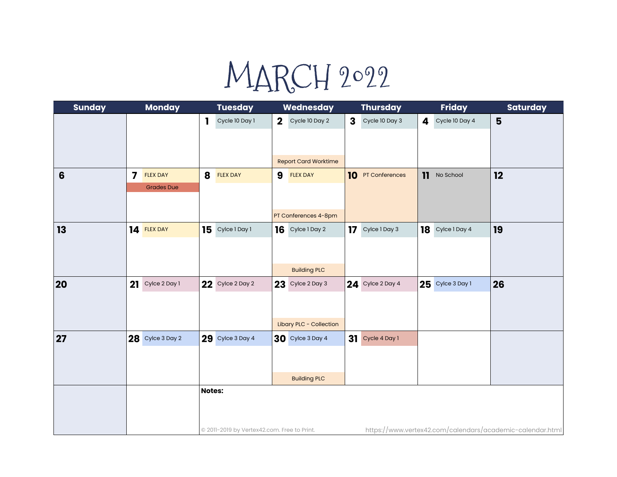# MARCH 2022

| <b>Sunday</b>  | <b>Monday</b>                              | <b>Tuesday</b>                              | Wednesday                      | <b>Thursday</b>                | <b>Friday</b>              | <b>Saturday</b>                                           |
|----------------|--------------------------------------------|---------------------------------------------|--------------------------------|--------------------------------|----------------------------|-----------------------------------------------------------|
|                |                                            | Cycle 10 Day 1<br>ı                         | $\mathbf{2}$<br>Cycle 10 Day 2 | $\mathbf{3}$<br>Cycle 10 Day 3 | Cycle 10 Day 4<br>4        | 5                                                         |
|                |                                            |                                             |                                |                                |                            |                                                           |
|                |                                            |                                             |                                |                                |                            |                                                           |
|                |                                            |                                             | <b>Report Card Worktime</b>    |                                |                            |                                                           |
| $6\phantom{1}$ | $\overline{\mathbf{z}}$<br><b>FLEX DAY</b> | 8<br><b>FLEX DAY</b>                        | 9<br><b>FLEX DAY</b>           | 10 PT Conferences              | $\mathbf{11}$<br>No School | 12                                                        |
|                | <b>Grades Due</b>                          |                                             |                                |                                |                            |                                                           |
|                |                                            |                                             |                                |                                |                            |                                                           |
|                |                                            |                                             | PT Conferences 4-8pm           |                                |                            |                                                           |
| 13             | 14 FLEX DAY                                | Cylce 1 Day 1<br>15                         | 16<br>Cylce 1 Day 2            | 17<br>Cylce 1 Day 3            | Cylce 1 Day 4<br>18        | 19                                                        |
|                |                                            |                                             |                                |                                |                            |                                                           |
|                |                                            |                                             |                                |                                |                            |                                                           |
|                |                                            |                                             | <b>Building PLC</b>            |                                |                            |                                                           |
| 20             | 21<br>Cylce 2 Day 1                        | <b>22</b> Cylce 2 Day 2                     | $23$ Cylce 2 Day 3             | <b>24</b> Cylce 2 Day 4        | 25 Cylce 3 Day 1           | 26                                                        |
|                |                                            |                                             |                                |                                |                            |                                                           |
|                |                                            |                                             |                                |                                |                            |                                                           |
|                |                                            |                                             | Libary PLC - Collection        |                                |                            |                                                           |
| 27             | 28 Cylce 3 Day 2                           | 29 Cylce 3 Day 4                            | 30 Cylce 3 Day 4               | 31 Cycle 4 Day 1               |                            |                                                           |
|                |                                            |                                             |                                |                                |                            |                                                           |
|                |                                            |                                             |                                |                                |                            |                                                           |
|                |                                            |                                             | <b>Building PLC</b>            |                                |                            |                                                           |
|                |                                            | <b>Notes:</b>                               |                                |                                |                            |                                                           |
|                |                                            |                                             |                                |                                |                            |                                                           |
|                |                                            |                                             |                                |                                |                            |                                                           |
|                |                                            | © 2011-2019 by Vertex42.com. Free to Print. |                                |                                |                            | https://www.vertex42.com/calendars/academic-calendar.html |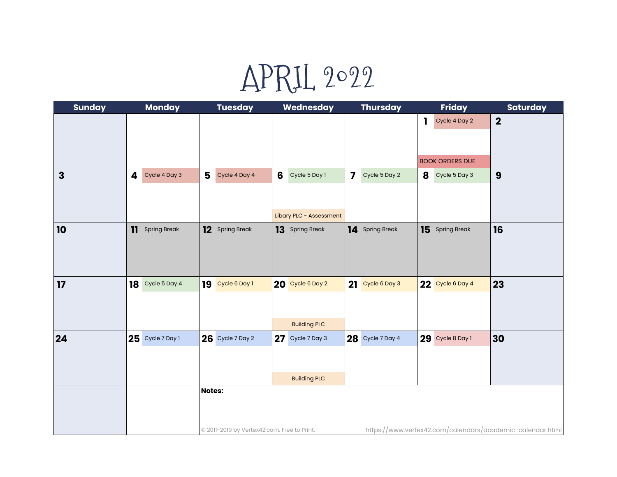### APRIL 2022

| <b>Sunday</b> | <b>Monday</b>      | <b>Tuesday</b>                                               | Wednesday                                     | <b>Thursday</b>                          | <b>Friday</b>                                          | <b>Saturday</b>                                           |
|---------------|--------------------|--------------------------------------------------------------|-----------------------------------------------|------------------------------------------|--------------------------------------------------------|-----------------------------------------------------------|
|               |                    |                                                              |                                               |                                          | Cycle 4 Day 2<br>$\mathbf 1$<br><b>BOOK ORDERS DUE</b> | $\mathbf 2$                                               |
| $\mathbf{3}$  | Cycle 4 Day 3<br>4 | 5<br>Cycle 4 Day 4                                           | 6<br>Cycle 5 Day 1<br>Libary PLC - Assessment | $\overline{\mathbf{z}}$<br>Cycle 5 Day 2 | 8<br>Cycle 5 Day 3                                     | 9                                                         |
| 10            | 11 Spring Break    | 12 Spring Break                                              | 13 Spring Break                               | 14 Spring Break                          | 15 Spring Break                                        | 16                                                        |
| 17            | 18 Cycle 5 Day 4   | 19 Cycle 6 Day 1                                             | 20 Cycle 6 Day 2<br><b>Building PLC</b>       | 21 Cycle 6 Day 3                         | 22 Cycle 6 Day 4                                       | 23                                                        |
| 24            | $25$ Cycle 7 Day 1 | <b>26</b> Cycle 7 Day 2                                      | 27 Cycle 7 Day 3<br><b>Building PLC</b>       | 28 Cycle 7 Day 4                         | 29 Cycle 8 Day 1                                       | 30                                                        |
|               |                    | <b>Notes:</b><br>@ 2011-2019 by Vertex42.com. Free to Print. |                                               |                                          |                                                        | https://www.vertex42.com/calendars/academic-calendar.html |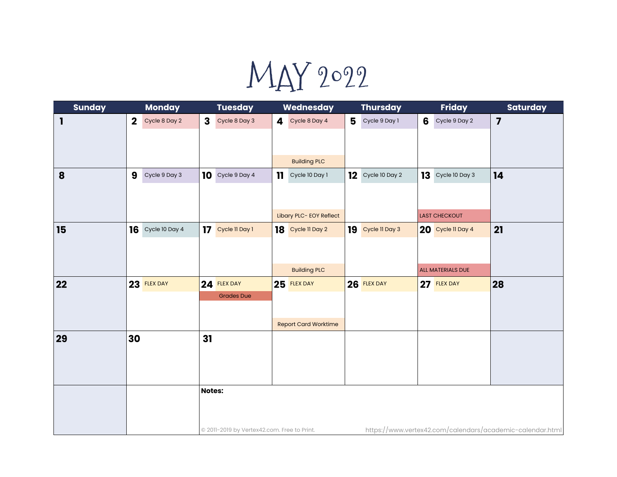MAY 2022

| <b>Sunday</b> | <b>Monday</b>                | <b>Tuesday</b>                              | Wednesday                      | <b>Thursday</b>     | <b>Friday</b>                                             | <b>Saturday</b>         |
|---------------|------------------------------|---------------------------------------------|--------------------------------|---------------------|-----------------------------------------------------------|-------------------------|
| 1             | $\mathbf 2$<br>Cycle 8 Day 2 | $\mathbf{3}$<br>Cycle 8 Day 3               | 4<br>Cycle 8 Day 4             | 5<br>Cycle 9 Day 1  | 6<br>Cycle 9 Day 2                                        | $\overline{\mathbf{z}}$ |
|               |                              |                                             |                                |                     |                                                           |                         |
|               |                              |                                             |                                |                     |                                                           |                         |
|               |                              |                                             | <b>Building PLC</b>            |                     |                                                           |                         |
| 8             | 9<br>Cycle 9 Day 3           | Cycle 9 Day 4<br>10                         | Cycle 10 Day 1<br>$\mathbf{1}$ | $12$ Cycle 10 Day 2 | 13<br>Cycle 10 Day 3                                      | 14                      |
|               |                              |                                             |                                |                     |                                                           |                         |
|               |                              |                                             |                                |                     |                                                           |                         |
|               |                              |                                             | Libary PLC- EOY Reflect        |                     | <b>LAST CHECKOUT</b>                                      |                         |
| 15            | $16$ Cycle 10 Day 4          | 17<br>Cycle 11 Day 1                        | 18 Cycle II Day 2              | 19 Cycle II Day 3   | 20 Cycle II Day 4                                         | 21                      |
|               |                              |                                             |                                |                     |                                                           |                         |
|               |                              |                                             | <b>Building PLC</b>            |                     | ALL MATERIALS DUE                                         |                         |
| 22            | 23 FLEX DAY                  | 24 FLEX DAY                                 | 25 FLEX DAY                    | 26 FLEX DAY         | 27 FLEX DAY                                               | 28                      |
|               |                              | <b>Grades Due</b>                           |                                |                     |                                                           |                         |
|               |                              |                                             |                                |                     |                                                           |                         |
|               |                              |                                             | <b>Report Card Worktime</b>    |                     |                                                           |                         |
| 29            | 30                           | 31                                          |                                |                     |                                                           |                         |
|               |                              |                                             |                                |                     |                                                           |                         |
|               |                              |                                             |                                |                     |                                                           |                         |
|               |                              |                                             |                                |                     |                                                           |                         |
|               |                              | <b>Notes:</b>                               |                                |                     |                                                           |                         |
|               |                              |                                             |                                |                     |                                                           |                         |
|               |                              |                                             |                                |                     |                                                           |                         |
|               |                              | © 2011-2019 by Vertex42.com. Free to Print. |                                |                     | https://www.vertex42.com/calendars/academic-calendar.html |                         |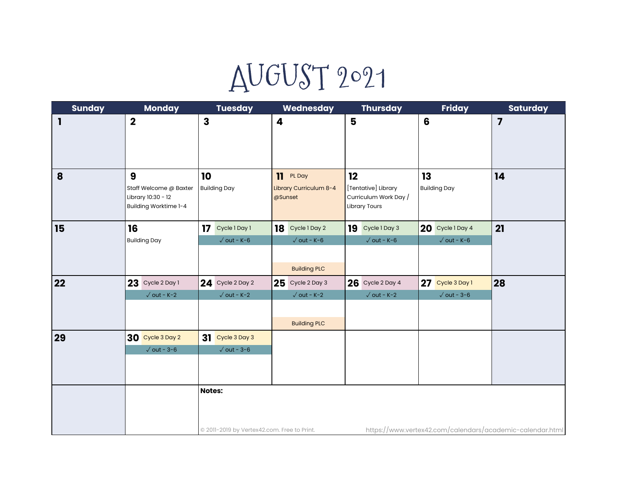## AUGUST 2021

| <b>Sunday</b> | <b>Monday</b>                                                              | <b>Tuesday</b>                                               | <b>Wednesday</b>                                                 | <b>Thursday</b>                                                            | <b>Friday</b>                          | <b>Saturday</b>                                           |
|---------------|----------------------------------------------------------------------------|--------------------------------------------------------------|------------------------------------------------------------------|----------------------------------------------------------------------------|----------------------------------------|-----------------------------------------------------------|
| 1             | $\boldsymbol{2}$                                                           | $\mathbf{3}$                                                 | 4                                                                | 5                                                                          | 6                                      | $\overline{\mathbf{z}}$                                   |
| 8             | 9<br>Staff Welcome @ Baxter<br>Library 10:30 - 12<br>Building Worktime 1-4 | 10<br><b>Building Day</b>                                    | 11<br>PL Day<br>Library Curriculum 8-4<br>@Sunset                | 12<br>[Tentative] Library<br>Curriculum Work Day /<br><b>Library Tours</b> | 13<br><b>Building Day</b>              | 14                                                        |
| 15            | 16<br><b>Building Day</b>                                                  | 17<br>Cycle 1 Day 1<br>$\sqrt{$ out - K-6                    | 18<br>Cycle 1 Day 2<br>$\sqrt{$ out - K-6<br><b>Building PLC</b> | 19<br>Cycle 1 Day 3<br>$\sqrt{$ out - K-6                                  | 20 Cycle 1 Day 4<br>$\sqrt{$ out - K-6 | 21                                                        |
| 22            | $23$ Cycle 2 Day 1<br>$\sqrt{}$ out - K-2                                  | 24 Cycle 2 Day 2<br>$\sqrt{$ out - K-2                       | $25$ Cycle 2 Day 3<br>$\sqrt{$ out - K-2<br><b>Building PLC</b>  | <b>26</b> Cycle 2 Day 4<br>$\sqrt{}$ out - K-2                             | 27 Cycle 3 Day 1<br>$\sqrt{$ out - 3-6 | 28                                                        |
| 29            | 30 Cycle 3 Day 2<br>$\sqrt{\text{out} - 3-6}$                              | 31 Cycle 3 Day 3<br>$\sqrt{$ out - 3-6                       |                                                                  |                                                                            |                                        |                                                           |
|               |                                                                            | <b>Notes:</b><br>© 2011-2019 by Vertex42.com. Free to Print. |                                                                  |                                                                            |                                        | https://www.vertex42.com/calendars/academic-calendar.html |